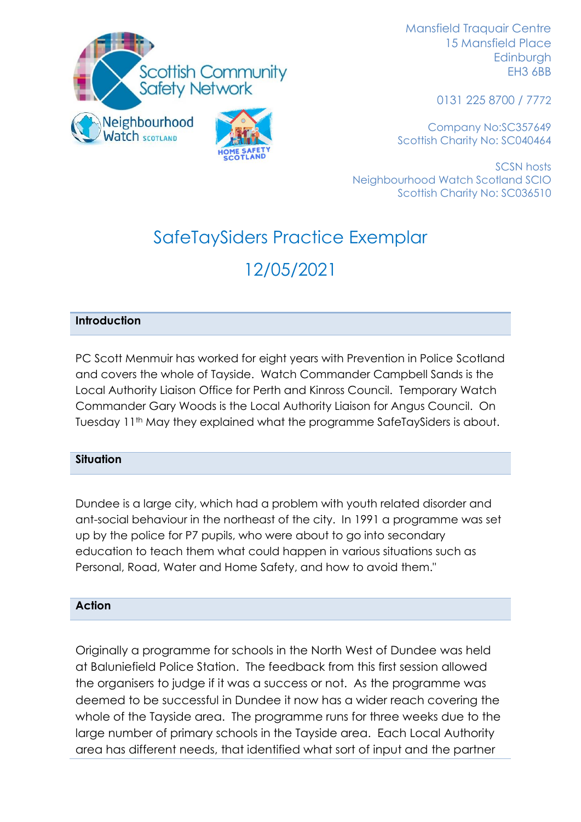

Mansfield Traquair Centre 15 Mansfield Place Edinburgh EH3 6BB

0131 225 8700 / 7772

Company No:SC357649 Scottish Charity No: SC040464

SCSN hosts Neighbourhood Watch Scotland SCIO Scottish Charity No: SC036510

# SafeTaySiders Practice Exemplar 12/05/2021

# **Introduction**

PC Scott Menmuir has worked for eight years with Prevention in Police Scotland and covers the whole of Tayside. Watch Commander Campbell Sands is the Local Authority Liaison Office for Perth and Kinross Council. Temporary Watch Commander Gary Woods is the Local Authority Liaison for Angus Council. On Tuesday 11<sup>th</sup> May they explained what the programme SafeTaySiders is about.

#### **Situation**

Dundee is a large city, which had a problem with youth related disorder and ant-social behaviour in the northeast of the city. In 1991 a programme was set up by the police for P7 pupils, who were about to go into secondary education to teach them what could happen in various situations such as Personal, Road, Water and Home Safety, and how to avoid them."

#### **Action**

Originally a programme for schools in the North West of Dundee was held at Baluniefield Police Station. The feedback from this first session allowed the organisers to judge if it was a success or not. As the programme was deemed to be successful in Dundee it now has a wider reach covering the whole of the Tayside area. The programme runs for three weeks due to the large number of primary schools in the Tayside area. Each Local Authority area has different needs, that identified what sort of input and the partner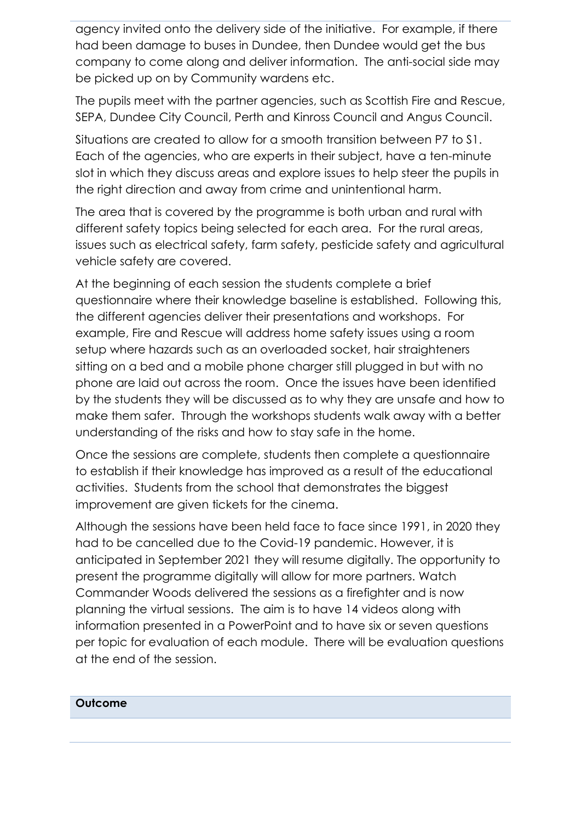agency invited onto the delivery side of the initiative. For example, if there had been damage to buses in Dundee, then Dundee would get the bus company to come along and deliver information. The anti-social side may be picked up on by Community wardens etc.

The pupils meet with the partner agencies, such as Scottish Fire and Rescue, SEPA, Dundee City Council, Perth and Kinross Council and Angus Council.

Situations are created to allow for a smooth transition between P7 to S1. Each of the agencies, who are experts in their subject, have a ten-minute slot in which they discuss areas and explore issues to help steer the pupils in the right direction and away from crime and unintentional harm.

The area that is covered by the programme is both urban and rural with different safety topics being selected for each area. For the rural areas, issues such as electrical safety, farm safety, pesticide safety and agricultural vehicle safety are covered.

At the beginning of each session the students complete a brief questionnaire where their knowledge baseline is established. Following this, the different agencies deliver their presentations and workshops. For example, Fire and Rescue will address home safety issues using a room setup where hazards such as an overloaded socket, hair straighteners sitting on a bed and a mobile phone charger still plugged in but with no phone are laid out across the room. Once the issues have been identified by the students they will be discussed as to why they are unsafe and how to make them safer. Through the workshops students walk away with a better understanding of the risks and how to stay safe in the home.

Once the sessions are complete, students then complete a questionnaire to establish if their knowledge has improved as a result of the educational activities. Students from the school that demonstrates the biggest improvement are given tickets for the cinema.

Although the sessions have been held face to face since 1991, in 2020 they had to be cancelled due to the Covid-19 pandemic. However, it is anticipated in September 2021 they will resume digitally. The opportunity to present the programme digitally will allow for more partners. Watch Commander Woods delivered the sessions as a firefighter and is now planning the virtual sessions. The aim is to have 14 videos along with information presented in a PowerPoint and to have six or seven questions per topic for evaluation of each module. There will be evaluation questions at the end of the session.

# **Outcome**